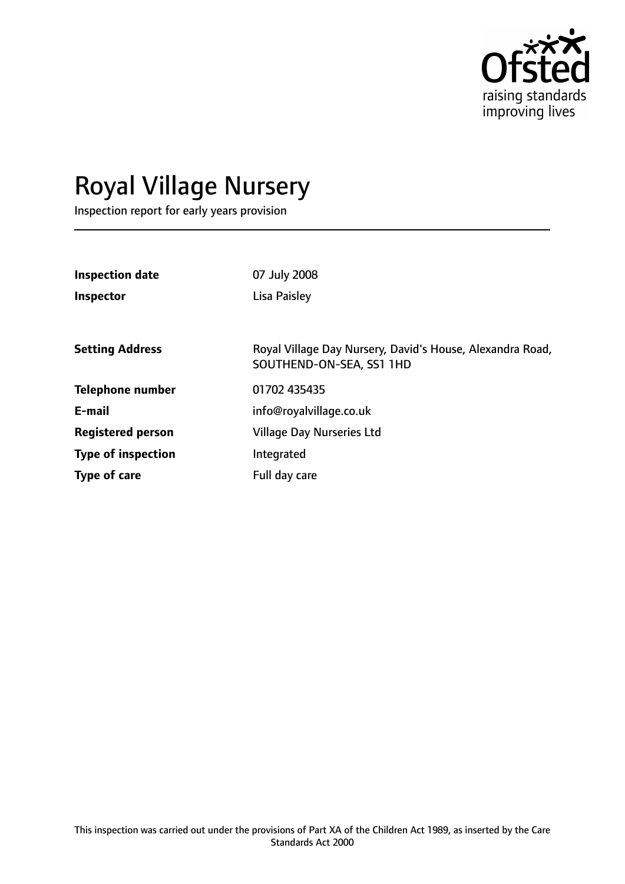

# Royal Village Nursery

Inspection report for early years provision

| <b>Inspection date</b><br>Inspector | 07 July 2008<br>Lisa Paisley                                                          |
|-------------------------------------|---------------------------------------------------------------------------------------|
| <b>Setting Address</b>              | Royal Village Day Nursery, David's House, Alexandra Road,<br>SOUTHEND-ON-SEA, SS1 1HD |
| <b>Telephone number</b>             | 01702 435435                                                                          |
| E-mail                              | info@royalvillage.co.uk                                                               |
| <b>Registered person</b>            | <b>Village Day Nurseries Ltd</b>                                                      |
| <b>Type of inspection</b>           | Integrated                                                                            |
| Type of care                        | Full day care                                                                         |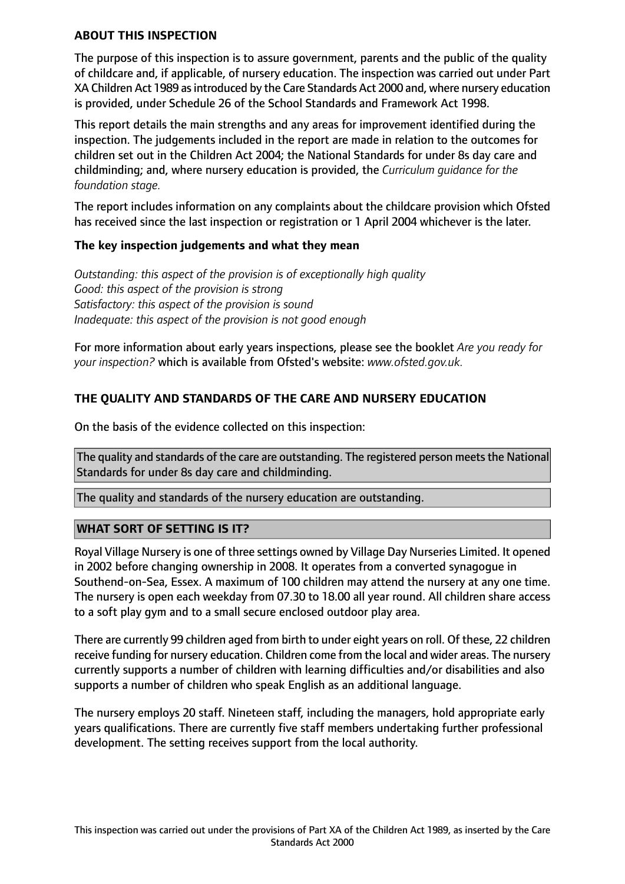## **ABOUT THIS INSPECTION**

The purpose of this inspection is to assure government, parents and the public of the quality of childcare and, if applicable, of nursery education. The inspection was carried out under Part XA Children Act 1989 asintroduced by the Care Standards Act 2000 and, where nursery education is provided, under Schedule 26 of the School Standards and Framework Act 1998.

This report details the main strengths and any areas for improvement identified during the inspection. The judgements included in the report are made in relation to the outcomes for children set out in the Children Act 2004; the National Standards for under 8s day care and childminding; and, where nursery education is provided, the *Curriculum guidance for the foundation stage.*

The report includes information on any complaints about the childcare provision which Ofsted has received since the last inspection or registration or 1 April 2004 whichever is the later.

#### **The key inspection judgements and what they mean**

*Outstanding: this aspect of the provision is of exceptionally high quality Good: this aspect of the provision is strong Satisfactory: this aspect of the provision is sound Inadequate: this aspect of the provision is not good enough*

For more information about early years inspections, please see the booklet *Are you ready for your inspection?* which is available from Ofsted's website: *www.ofsted.gov.uk.*

## **THE QUALITY AND STANDARDS OF THE CARE AND NURSERY EDUCATION**

On the basis of the evidence collected on this inspection:

The quality and standards of the care are outstanding. The registered person meets the National Standards for under 8s day care and childminding.

The quality and standards of the nursery education are outstanding.

## **WHAT SORT OF SETTING IS IT?**

Royal Village Nursery is one of three settings owned by Village Day Nurseries Limited. It opened in 2002 before changing ownership in 2008. It operates from a converted synagogue in Southend-on-Sea, Essex. A maximum of 100 children may attend the nursery at any one time. The nursery is open each weekday from 07.30 to 18.00 all year round. All children share access to a soft play gym and to a small secure enclosed outdoor play area.

There are currently 99 children aged from birth to under eight years on roll. Of these, 22 children receive funding for nursery education. Children come from the local and wider areas. The nursery currently supports a number of children with learning difficulties and/or disabilities and also supports a number of children who speak English as an additional language.

The nursery employs 20 staff. Nineteen staff, including the managers, hold appropriate early years qualifications. There are currently five staff members undertaking further professional development. The setting receives support from the local authority.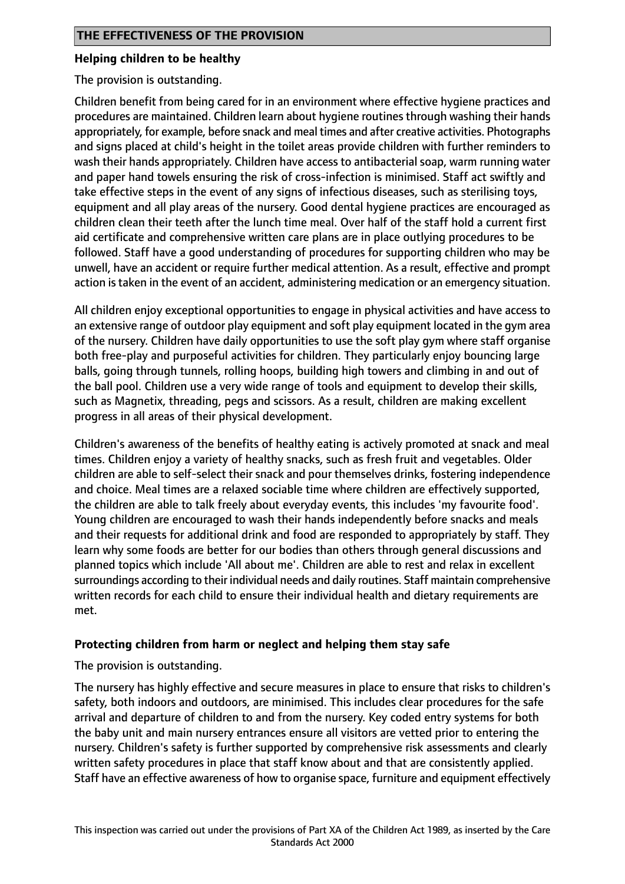## **Helping children to be healthy**

The provision is outstanding.

Children benefit from being cared for in an environment where effective hygiene practices and procedures are maintained. Children learn about hygiene routines through washing their hands appropriately, for example, before snack and meal times and after creative activities. Photographs and signs placed at child's height in the toilet areas provide children with further reminders to wash their hands appropriately. Children have access to antibacterial soap, warm running water and paper hand towels ensuring the risk of cross-infection is minimised. Staff act swiftly and take effective steps in the event of any signs of infectious diseases, such as sterilising toys, equipment and all play areas of the nursery. Good dental hygiene practices are encouraged as children clean their teeth after the lunch time meal. Over half of the staff hold a current first aid certificate and comprehensive written care plans are in place outlying procedures to be followed. Staff have a good understanding of procedures for supporting children who may be unwell, have an accident or require further medical attention. As a result, effective and prompt action is taken in the event of an accident, administering medication or an emergency situation.

All children enjoy exceptional opportunities to engage in physical activities and have access to an extensive range of outdoor play equipment and soft play equipment located in the gym area of the nursery. Children have daily opportunities to use the soft play gym where staff organise both free-play and purposeful activities for children. They particularly enjoy bouncing large balls, going through tunnels, rolling hoops, building high towers and climbing in and out of the ball pool. Children use a very wide range of tools and equipment to develop their skills, such as Magnetix, threading, pegs and scissors. As a result, children are making excellent progress in all areas of their physical development.

Children's awareness of the benefits of healthy eating is actively promoted at snack and meal times. Children enjoy a variety of healthy snacks, such as fresh fruit and vegetables. Older children are able to self-select their snack and pour themselves drinks, fostering independence and choice. Meal times are a relaxed sociable time where children are effectively supported, the children are able to talk freely about everyday events, this includes 'my favourite food'. Young children are encouraged to wash their hands independently before snacks and meals and their requests for additional drink and food are responded to appropriately by staff. They learn why some foods are better for our bodies than others through general discussions and planned topics which include 'All about me'. Children are able to rest and relax in excellent surroundings according to their individual needs and daily routines. Staff maintain comprehensive written records for each child to ensure their individual health and dietary requirements are met.

## **Protecting children from harm or neglect and helping them stay safe**

The provision is outstanding.

The nursery has highly effective and secure measures in place to ensure that risks to children's safety, both indoors and outdoors, are minimised. This includes clear procedures for the safe arrival and departure of children to and from the nursery. Key coded entry systems for both the baby unit and main nursery entrances ensure all visitors are vetted prior to entering the nursery. Children's safety is further supported by comprehensive risk assessments and clearly written safety procedures in place that staff know about and that are consistently applied. Staff have an effective awareness of how to organise space, furniture and equipment effectively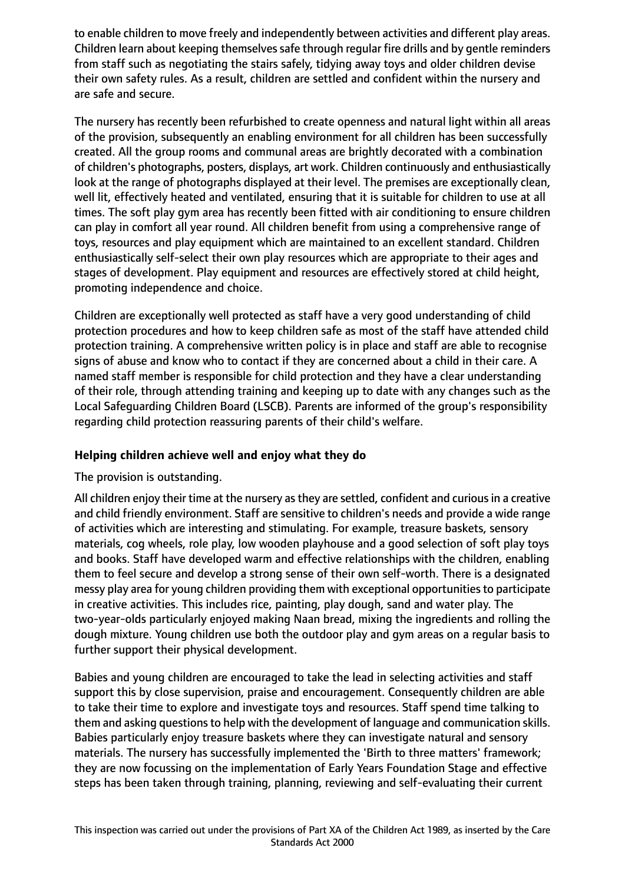to enable children to move freely and independently between activities and different play areas. Children learn about keeping themselves safe through regular fire drills and by gentle reminders from staff such as negotiating the stairs safely, tidying away toys and older children devise their own safety rules. As a result, children are settled and confident within the nursery and are safe and secure.

The nursery has recently been refurbished to create openness and natural light within all areas of the provision, subsequently an enabling environment for all children has been successfully created. All the group rooms and communal areas are brightly decorated with a combination of children's photographs, posters, displays, art work. Children continuously and enthusiastically look at the range of photographs displayed at their level. The premises are exceptionally clean, well lit, effectively heated and ventilated, ensuring that it is suitable for children to use at all times. The soft play gym area has recently been fitted with air conditioning to ensure children can play in comfort all year round. All children benefit from using a comprehensive range of toys, resources and play equipment which are maintained to an excellent standard. Children enthusiastically self-select their own play resources which are appropriate to their ages and stages of development. Play equipment and resources are effectively stored at child height, promoting independence and choice.

Children are exceptionally well protected as staff have a very good understanding of child protection procedures and how to keep children safe as most of the staff have attended child protection training. A comprehensive written policy is in place and staff are able to recognise signs of abuse and know who to contact if they are concerned about a child in their care. A named staff member is responsible for child protection and they have a clear understanding of their role, through attending training and keeping up to date with any changes such as the Local Safeguarding Children Board (LSCB). Parents are informed of the group's responsibility regarding child protection reassuring parents of their child's welfare.

# **Helping children achieve well and enjoy what they do**

## The provision is outstanding.

All children enjoy their time at the nursery as they are settled, confident and curious in a creative and child friendly environment. Staff are sensitive to children's needs and provide a wide range of activities which are interesting and stimulating. For example, treasure baskets, sensory materials, cog wheels, role play, low wooden playhouse and a good selection of soft play toys and books. Staff have developed warm and effective relationships with the children, enabling them to feel secure and develop a strong sense of their own self-worth. There is a designated messy play area for young children providing them with exceptional opportunities to participate in creative activities. This includes rice, painting, play dough, sand and water play. The two-year-olds particularly enjoyed making Naan bread, mixing the ingredients and rolling the dough mixture. Young children use both the outdoor play and gym areas on a regular basis to further support their physical development.

Babies and young children are encouraged to take the lead in selecting activities and staff support this by close supervision, praise and encouragement. Consequently children are able to take their time to explore and investigate toys and resources. Staff spend time talking to them and asking questions to help with the development of language and communication skills. Babies particularly enjoy treasure baskets where they can investigate natural and sensory materials. The nursery has successfully implemented the 'Birth to three matters' framework; they are now focussing on the implementation of Early Years Foundation Stage and effective steps has been taken through training, planning, reviewing and self-evaluating their current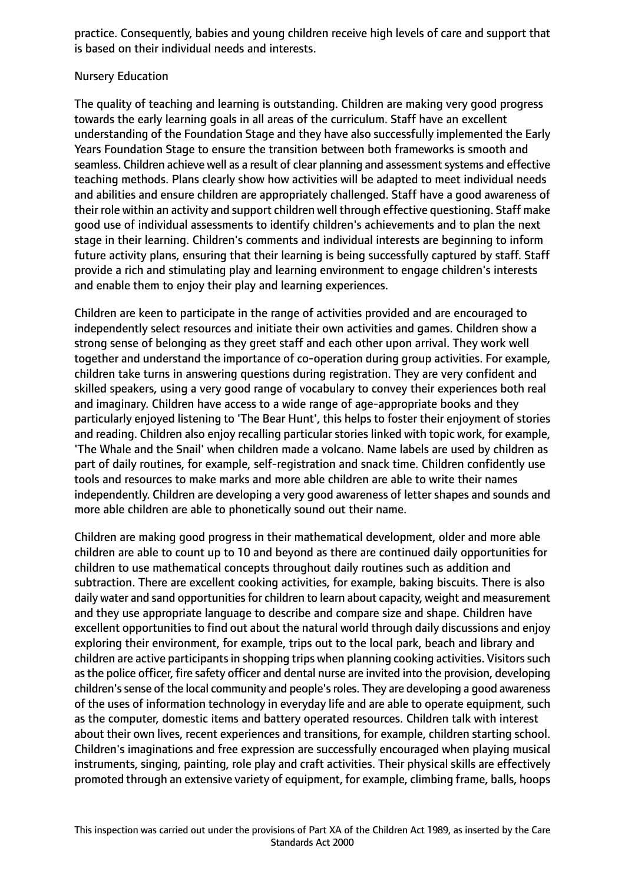practice. Consequently, babies and young children receive high levels of care and support that is based on their individual needs and interests.

## Nursery Education

The quality of teaching and learning is outstanding. Children are making very good progress towards the early learning goals in all areas of the curriculum. Staff have an excellent understanding of the Foundation Stage and they have also successfully implemented the Early Years Foundation Stage to ensure the transition between both frameworks is smooth and seamless. Children achieve well as a result of clear planning and assessment systems and effective teaching methods. Plans clearly show how activities will be adapted to meet individual needs and abilities and ensure children are appropriately challenged. Staff have a good awareness of their role within an activity and support children well through effective questioning. Staff make good use of individual assessments to identify children's achievements and to plan the next stage in their learning. Children's comments and individual interests are beginning to inform future activity plans, ensuring that their learning is being successfully captured by staff. Staff provide a rich and stimulating play and learning environment to engage children's interests and enable them to enjoy their play and learning experiences.

Children are keen to participate in the range of activities provided and are encouraged to independently select resources and initiate their own activities and games. Children show a strong sense of belonging as they greet staff and each other upon arrival. They work well together and understand the importance of co-operation during group activities. For example, children take turns in answering questions during registration. They are very confident and skilled speakers, using a very good range of vocabulary to convey their experiences both real and imaginary. Children have access to a wide range of age-appropriate books and they particularly enjoyed listening to 'The Bear Hunt', this helps to foster their enjoyment of stories and reading. Children also enjoy recalling particular stories linked with topic work, for example, 'The Whale and the Snail' when children made a volcano. Name labels are used by children as part of daily routines, for example, self-registration and snack time. Children confidently use tools and resources to make marks and more able children are able to write their names independently. Children are developing a very good awareness of letter shapes and sounds and more able children are able to phonetically sound out their name.

Children are making good progress in their mathematical development, older and more able children are able to count up to 10 and beyond as there are continued daily opportunities for children to use mathematical concepts throughout daily routines such as addition and subtraction. There are excellent cooking activities, for example, baking biscuits. There is also daily water and sand opportunities for children to learn about capacity, weight and measurement and they use appropriate language to describe and compare size and shape. Children have excellent opportunities to find out about the natural world through daily discussions and enjoy exploring their environment, for example, trips out to the local park, beach and library and children are active participants in shopping trips when planning cooking activities. Visitors such asthe police officer, fire safety officer and dental nurse are invited into the provision, developing children's sense of the local community and people's roles. They are developing a good awareness of the uses of information technology in everyday life and are able to operate equipment, such as the computer, domestic items and battery operated resources. Children talk with interest about their own lives, recent experiences and transitions, for example, children starting school. Children's imaginations and free expression are successfully encouraged when playing musical instruments, singing, painting, role play and craft activities. Their physical skills are effectively promoted through an extensive variety of equipment, for example, climbing frame, balls, hoops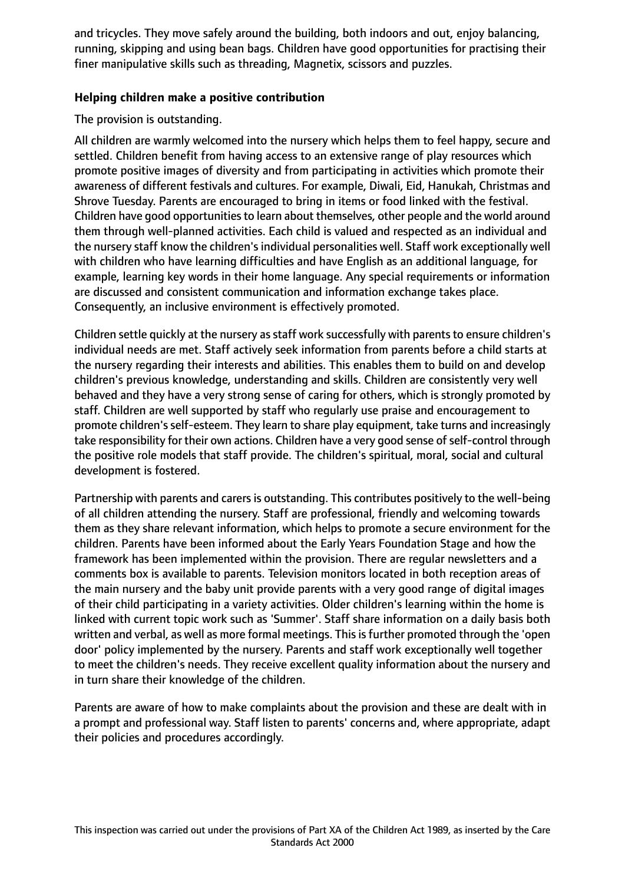and tricycles. They move safely around the building, both indoors and out, enjoy balancing, running, skipping and using bean bags. Children have good opportunities for practising their finer manipulative skills such as threading, Magnetix, scissors and puzzles.

## **Helping children make a positive contribution**

## The provision is outstanding.

All children are warmly welcomed into the nursery which helps them to feel happy, secure and settled. Children benefit from having access to an extensive range of play resources which promote positive images of diversity and from participating in activities which promote their awareness of different festivals and cultures. For example, Diwali, Eid, Hanukah, Christmas and Shrove Tuesday. Parents are encouraged to bring in items or food linked with the festival. Children have good opportunities to learn about themselves, other people and the world around them through well-planned activities. Each child is valued and respected as an individual and the nursery staff know the children's individual personalities well. Staff work exceptionally well with children who have learning difficulties and have English as an additional language, for example, learning key words in their home language. Any special requirements or information are discussed and consistent communication and information exchange takes place. Consequently, an inclusive environment is effectively promoted.

Children settle quickly at the nursery as staff work successfully with parents to ensure children's individual needs are met. Staff actively seek information from parents before a child starts at the nursery regarding their interests and abilities. This enables them to build on and develop children's previous knowledge, understanding and skills. Children are consistently very well behaved and they have a very strong sense of caring for others, which is strongly promoted by staff. Children are well supported by staff who regularly use praise and encouragement to promote children's self-esteem. They learn to share play equipment, take turns and increasingly take responsibility for their own actions. Children have a very good sense of self-control through the positive role models that staff provide. The children's spiritual, moral, social and cultural development is fostered.

Partnership with parents and carers is outstanding. This contributes positively to the well-being of all children attending the nursery. Staff are professional, friendly and welcoming towards them as they share relevant information, which helps to promote a secure environment for the children. Parents have been informed about the Early Years Foundation Stage and how the framework has been implemented within the provision. There are regular newsletters and a comments box is available to parents. Television monitors located in both reception areas of the main nursery and the baby unit provide parents with a very good range of digital images of their child participating in a variety activities. Older children's learning within the home is linked with current topic work such as 'Summer'. Staff share information on a daily basis both written and verbal, as well as more formal meetings. This is further promoted through the 'open door' policy implemented by the nursery. Parents and staff work exceptionally well together to meet the children's needs. They receive excellent quality information about the nursery and in turn share their knowledge of the children.

Parents are aware of how to make complaints about the provision and these are dealt with in a prompt and professional way. Staff listen to parents' concerns and, where appropriate, adapt their policies and procedures accordingly.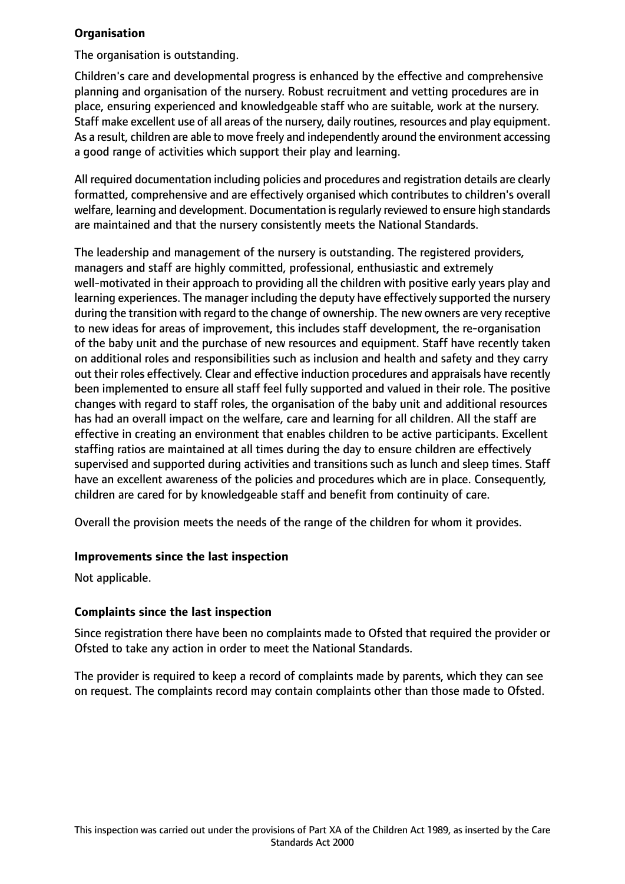## **Organisation**

The organisation is outstanding.

Children's care and developmental progress is enhanced by the effective and comprehensive planning and organisation of the nursery. Robust recruitment and vetting procedures are in place, ensuring experienced and knowledgeable staff who are suitable, work at the nursery. Staff make excellent use of all areas of the nursery, daily routines, resources and play equipment. As a result, children are able to move freely and independently around the environment accessing a good range of activities which support their play and learning.

All required documentation including policies and procedures and registration details are clearly formatted, comprehensive and are effectively organised which contributes to children's overall welfare, learning and development. Documentation is regularly reviewed to ensure high standards are maintained and that the nursery consistently meets the National Standards.

The leadership and management of the nursery is outstanding. The registered providers, managers and staff are highly committed, professional, enthusiastic and extremely well-motivated in their approach to providing all the children with positive early years play and learning experiences. The manager including the deputy have effectively supported the nursery during the transition with regard to the change of ownership. The new owners are very receptive to new ideas for areas of improvement, this includes staff development, the re-organisation of the baby unit and the purchase of new resources and equipment. Staff have recently taken on additional roles and responsibilities such as inclusion and health and safety and they carry out their roles effectively. Clear and effective induction procedures and appraisals have recently been implemented to ensure all staff feel fully supported and valued in their role. The positive changes with regard to staff roles, the organisation of the baby unit and additional resources has had an overall impact on the welfare, care and learning for all children. All the staff are effective in creating an environment that enables children to be active participants. Excellent staffing ratios are maintained at all times during the day to ensure children are effectively supervised and supported during activities and transitions such as lunch and sleep times. Staff have an excellent awareness of the policies and procedures which are in place. Consequently, children are cared for by knowledgeable staff and benefit from continuity of care.

Overall the provision meets the needs of the range of the children for whom it provides.

## **Improvements since the last inspection**

Not applicable.

# **Complaints since the last inspection**

Since registration there have been no complaints made to Ofsted that required the provider or Ofsted to take any action in order to meet the National Standards.

The provider is required to keep a record of complaints made by parents, which they can see on request. The complaints record may contain complaints other than those made to Ofsted.